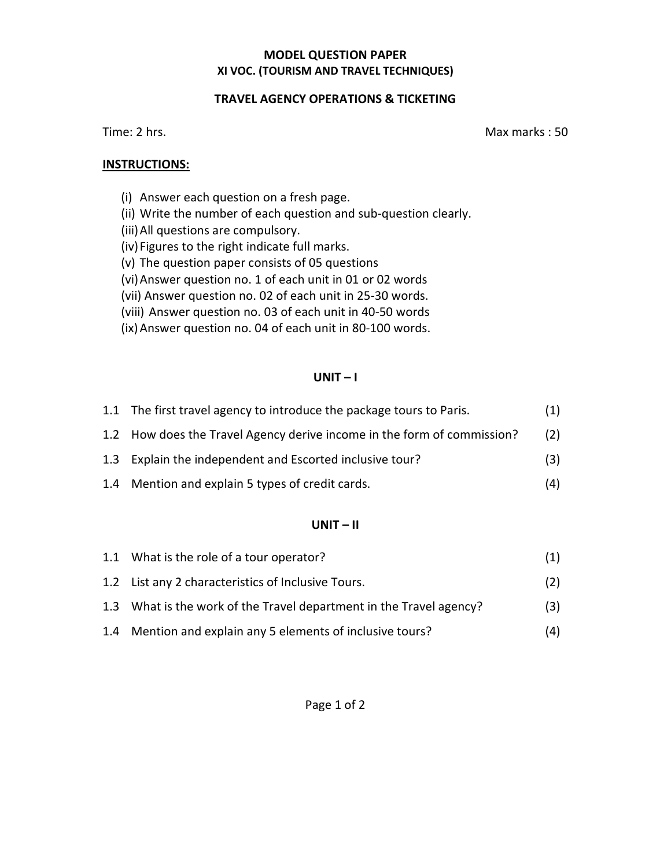## **MODEL QUESTION PAPER XI VOC. (TOURISM AND TRAVEL TECHNIQUES)**

## **TRAVEL AGENCY OPERATIONS & TICKETING**

Time: 2 hrs. Max marks : 50

## **INSTRUCTIONS:**

- (i) Answer each question on a fresh page.
- (ii) Write the number of each question and sub-question clearly.
- (iii)All questions are compulsory.
- (iv)Figures to the right indicate full marks.
- (v) The question paper consists of 05 questions
- (vi)Answer question no. 1 of each unit in 01 or 02 words
- (vii) Answer question no. 02 of each unit in 25-30 words.
- (viii) Answer question no. 03 of each unit in 40-50 words
- (ix)Answer question no. 04 of each unit in 80-100 words.

## **UNIT – I**

| 1.1 The first travel agency to introduce the package tours to Paris.    | (1) |
|-------------------------------------------------------------------------|-----|
| 1.2 How does the Travel Agency derive income in the form of commission? | (2) |
| 1.3 Explain the independent and Escorted inclusive tour?                | (3) |
| 1.4 Mention and explain 5 types of credit cards.                        | (4) |

## **UNIT – II**

| 1.1 What is the role of a tour operator?                            | (1) |
|---------------------------------------------------------------------|-----|
| 1.2 List any 2 characteristics of Inclusive Tours.                  | (2) |
| 1.3 What is the work of the Travel department in the Travel agency? | (3) |
| 1.4 Mention and explain any 5 elements of inclusive tours?          | (4) |

Page 1 of 2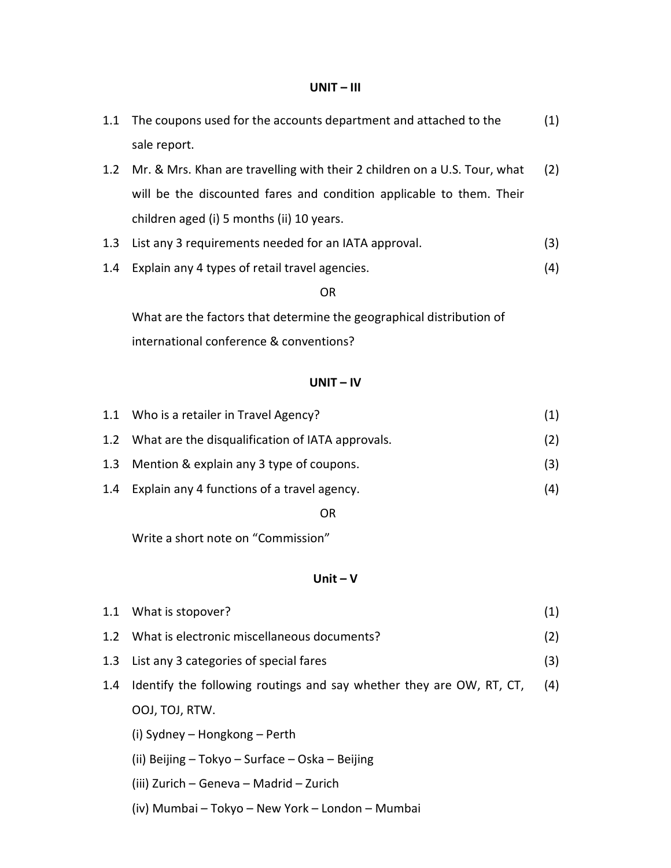#### **UNIT – III**

|     | 1.1 The coupons used for the accounts department and attached to the      | (1) |
|-----|---------------------------------------------------------------------------|-----|
|     | sale report.                                                              |     |
| 1.2 | Mr. & Mrs. Khan are travelling with their 2 children on a U.S. Tour, what | (2) |
|     | will be the discounted fares and condition applicable to them. Their      |     |
|     | children aged (i) 5 months (ii) 10 years.                                 |     |
|     | 1.3 List any 3 requirements needed for an IATA approval.                  | (3) |
| 1.4 | Explain any 4 types of retail travel agencies.                            | (4) |

#### **OR** Service Service Service Service Service Service Service Service Service Service Service Service Service Service Service Service Service Service Service Service Service Service Service Service Service Service Service S

 What are the factors that determine the geographical distribution of international conference & conventions?

### **UNIT – IV**

| (2)                                                                                                                                                                                                   |
|-------------------------------------------------------------------------------------------------------------------------------------------------------------------------------------------------------|
| (3)                                                                                                                                                                                                   |
| (4)                                                                                                                                                                                                   |
| 1.1 Who is a retailer in Travel Agency?<br>1.2 What are the disqualification of IATA approvals.<br>1.3 Mention & explain any 3 type of coupons.<br>1.4<br>Explain any 4 functions of a travel agency. |

**OR** STREET STREET AND THE STREET STREET STREET AND THE STREET STREET STREET AND THE STREET STREET STREET AND THE STREET AND THE STREET AND THE STREET AND THE STREET AND THE STREET AND THE STREET AND THE STREET AND THE STR

Write a short note on "Commission"

## **Unit – V**

|     | 1.1 What is stopover?                                                | (1) |
|-----|----------------------------------------------------------------------|-----|
|     | 1.2 What is electronic miscellaneous documents?                      | (2) |
| 1.3 | List any 3 categories of special fares                               | (3) |
| 1.4 | Identify the following routings and say whether they are OW, RT, CT, | (4) |
|     | OOJ, TOJ, RTW.                                                       |     |
|     | (i) Sydney – Hongkong – Perth                                        |     |
|     | (ii) Beijing – Tokyo – Surface – Oska – Beijing                      |     |
|     | (iii) Zurich – Geneva – Madrid – Zurich                              |     |

(iv) Mumbai – Tokyo – New York – London – Mumbai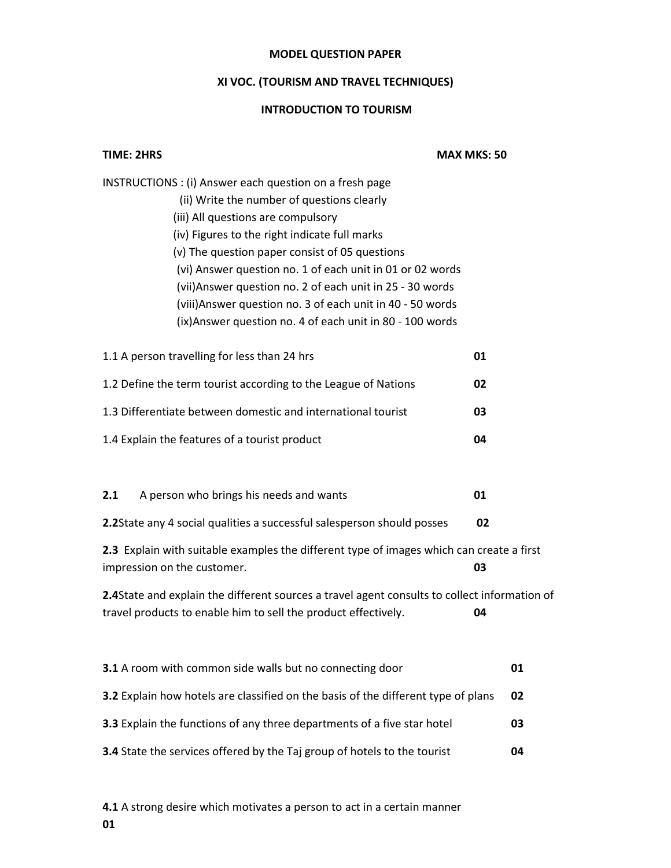## **MODEL QUESTION PAPER**

# **XI VOC. (TOURISM AND TRAVEL TECHNIQUES)**

## **INTRODUCTION TO TOURISM**

| <b>TIME: 2HRS</b>                                                                                                                                                                                                                                                                                                                                                                                                                                                                                   | <b>MAX MKS: 50</b> |  |
|-----------------------------------------------------------------------------------------------------------------------------------------------------------------------------------------------------------------------------------------------------------------------------------------------------------------------------------------------------------------------------------------------------------------------------------------------------------------------------------------------------|--------------------|--|
| INSTRUCTIONS : (i) Answer each question on a fresh page<br>(ii) Write the number of questions clearly<br>(iii) All questions are compulsory<br>(iv) Figures to the right indicate full marks<br>(v) The question paper consist of 05 questions<br>(vi) Answer question no. 1 of each unit in 01 or 02 words<br>(vii) Answer question no. 2 of each unit in 25 - 30 words<br>(viii) Answer question no. 3 of each unit in 40 - 50 words<br>(ix) Answer question no. 4 of each unit in 80 - 100 words |                    |  |
| 1.1 A person travelling for less than 24 hrs                                                                                                                                                                                                                                                                                                                                                                                                                                                        | 01                 |  |
| 1.2 Define the term tourist according to the League of Nations                                                                                                                                                                                                                                                                                                                                                                                                                                      | 02                 |  |
| 1.3 Differentiate between domestic and international tourist                                                                                                                                                                                                                                                                                                                                                                                                                                        | 03                 |  |
| 1.4 Explain the features of a tourist product                                                                                                                                                                                                                                                                                                                                                                                                                                                       | 04                 |  |
| 2.1<br>A person who brings his needs and wants                                                                                                                                                                                                                                                                                                                                                                                                                                                      | 01                 |  |
| 2.2State any 4 social qualities a successful salesperson should posses                                                                                                                                                                                                                                                                                                                                                                                                                              | 02                 |  |
| 2.3 Explain with suitable examples the different type of images which can create a first<br>impression on the customer.                                                                                                                                                                                                                                                                                                                                                                             | 03                 |  |
| 2.4State and explain the different sources a travel agent consults to collect information of<br>travel products to enable him to sell the product effectively.                                                                                                                                                                                                                                                                                                                                      | 04                 |  |
| 3.1 A room with common side walls but no connecting door                                                                                                                                                                                                                                                                                                                                                                                                                                            | 01                 |  |
| 3.2 Explain how hotels are classified on the basis of the different type of plans                                                                                                                                                                                                                                                                                                                                                                                                                   | 02                 |  |
| 3.3 Explain the functions of any three departments of a five star hotel                                                                                                                                                                                                                                                                                                                                                                                                                             |                    |  |
| 3.4 State the services offered by the Taj group of hotels to the tourist                                                                                                                                                                                                                                                                                                                                                                                                                            |                    |  |

**4.1** A strong desire which motivates a person to act in a certain manner